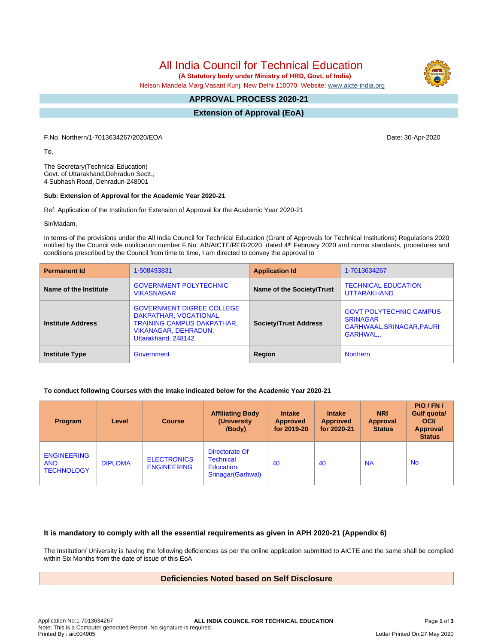All India Council for Technical Education

 **(A Statutory body under Ministry of HRD, Govt. of India)**

Nelson Mandela Marg,Vasant Kunj, New Delhi-110070 Website: [www.aicte-india.org](http://www.aicte-india.org)

#### **APPROVAL PROCESS 2020-21 -**

**Extension of Approval (EoA)**

F.No. Northern/1-7013634267/2020/EOA Date: 30-Apr-2020

To,

The Secretary(Technical Education) Govt. of Uttarakhand,Dehradun Sectt., 4 Subhash Road, Dehradun-248001

#### **Sub: Extension of Approval for the Academic Year 2020-21**

Ref: Application of the Institution for Extension of Approval for the Academic Year 2020-21

Sir/Madam,

In terms of the provisions under the All India Council for Technical Education (Grant of Approvals for Technical Institutions) Regulations 2020 notified by the Council vide notification number F.No. AB/AICTE/REG/2020 dated 4<sup>th</sup> February 2020 and norms standards, procedures and conditions prescribed by the Council from time to time, I am directed to convey the approval to

| <b>Permanent Id</b>      | 1-508493831                                                                                                                                          | <b>Application Id</b>        | 1-7013634267                                                                                |  |
|--------------------------|------------------------------------------------------------------------------------------------------------------------------------------------------|------------------------------|---------------------------------------------------------------------------------------------|--|
| Name of the Institute    | <b>GOVERNMENT POLYTECHNIC</b><br><b>VIKASNAGAR</b>                                                                                                   | Name of the Society/Trust    | <b>TECHNICAL EDUCATION</b><br><b>UTTARAKHAND</b>                                            |  |
| <b>Institute Address</b> | <b>GOVERNMENT DIGREE COLLEGE</b><br>DAKPATHAR, VOCATIONAL<br><b>TRAINING CAMPUS DAKPATHAR,</b><br><b>VIKANAGAR, DEHRADUN,</b><br>Uttarakhand, 248142 | <b>Society/Trust Address</b> | <b>GOVT POLYTECHNIC CAMPUS</b><br><b>SRINAGAR</b><br>GARHWAAL, SRINAGAR, PAURI<br>GARHWAL., |  |
| <b>Institute Type</b>    | Government                                                                                                                                           | Region                       | <b>Northern</b>                                                                             |  |

#### **To conduct following Courses with the Intake indicated below for the Academic Year 2020-21**

| <b>Program</b>                                        | Level          | <b>Course</b>                            | <b>Affiliating Body</b><br>(University)<br>/Body)               | <b>Intake</b><br><b>Approved</b><br>for 2019-20 | <b>Intake</b><br><b>Approved</b><br>for 2020-21 | <b>NRI</b><br>Approval<br><b>Status</b> | PIO/FN/<br>Gulf quota/<br><b>OCI</b><br><b>Approval</b><br><b>Status</b> |
|-------------------------------------------------------|----------------|------------------------------------------|-----------------------------------------------------------------|-------------------------------------------------|-------------------------------------------------|-----------------------------------------|--------------------------------------------------------------------------|
| <b>ENGINEERING</b><br><b>AND</b><br><b>TECHNOLOGY</b> | <b>DIPLOMA</b> | <b>ELECTRONICS</b><br><b>ENGINEERING</b> | Directorate Of<br>Technical<br>Education,<br>Srinagar (Garhwal) | 40                                              | 40                                              | <b>NA</b>                               | <b>No</b>                                                                |

### **It is mandatory to comply with all the essential requirements as given in APH 2020-21 (Appendix 6)**

The Institution/ University is having the following deficiencies as per the online application submitted to AICTE and the same shall be complied within Six Months from the date of issue of this EoA

## **Deficiencies Noted based on Self Disclosure**

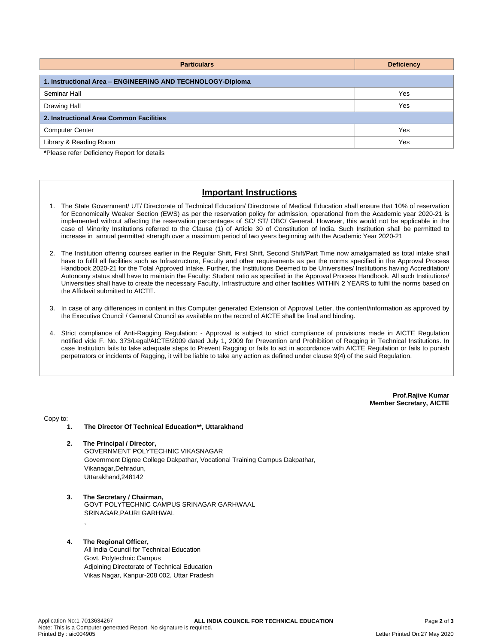| <b>Deficiency</b>                                          |  |  |  |  |  |  |
|------------------------------------------------------------|--|--|--|--|--|--|
| 1. Instructional Area - ENGINEERING AND TECHNOLOGY-Diploma |  |  |  |  |  |  |
| Yes                                                        |  |  |  |  |  |  |
| Yes                                                        |  |  |  |  |  |  |
| 2. Instructional Area Common Facilities                    |  |  |  |  |  |  |
| Yes                                                        |  |  |  |  |  |  |
| Yes                                                        |  |  |  |  |  |  |
|                                                            |  |  |  |  |  |  |

**\***Please refer Deficiency Report for details

# **Important Instructions**

- 1. The State Government/ UT/ Directorate of Technical Education/ Directorate of Medical Education shall ensure that 10% of reservation for Economically Weaker Section (EWS) as per the reservation policy for admission, operational from the Academic year 2020-21 is implemented without affecting the reservation percentages of SC/ ST/ OBC/ General. However, this would not be applicable in the case of Minority Institutions referred to the Clause (1) of Article 30 of Constitution of India. Such Institution shall be permitted to increase in annual permitted strength over a maximum period of two years beginning with the Academic Year 2020-21
- 2. The Institution offering courses earlier in the Regular Shift, First Shift, Second Shift/Part Time now amalgamated as total intake shall have to fulfil all facilities such as Infrastructure, Faculty and other requirements as per the norms specified in the Approval Process Handbook 2020-21 for the Total Approved Intake. Further, the Institutions Deemed to be Universities/ Institutions having Accreditation/ Autonomy status shall have to maintain the Faculty: Student ratio as specified in the Approval Process Handbook. All such Institutions/ Universities shall have to create the necessary Faculty, Infrastructure and other facilities WITHIN 2 YEARS to fulfil the norms based on the Affidavit submitted to AICTE.
- 3. In case of any differences in content in this Computer generated Extension of Approval Letter, the content/information as approved by the Executive Council / General Council as available on the record of AICTE shall be final and binding.
- 4. Strict compliance of Anti-Ragging Regulation: Approval is subject to strict compliance of provisions made in AICTE Regulation notified vide F. No. 373/Legal/AICTE/2009 dated July 1, 2009 for Prevention and Prohibition of Ragging in Technical Institutions. In case Institution fails to take adequate steps to Prevent Ragging or fails to act in accordance with AICTE Regulation or fails to punish perpetrators or incidents of Ragging, it will be liable to take any action as defined under clause 9(4) of the said Regulation.

**Prof.Rajive Kumar Member Secretary, AICTE**

Copy to:

- **1. The Director Of Technical Education\*\*, Uttarakhand**
- **2. The Principal / Director,** GOVERNMENT POLYTECHNIC VIKASNAGAR Government Digree College Dakpathar, Vocational Training Campus Dakpathar, Vikanagar,Dehradun, Uttarakhand,248142
- **3. The Secretary / Chairman,** GOVT POLYTECHNIC CAMPUS SRINAGAR GARHWAAL SRINAGAR,PAURI GARHWAL ,

#### **4. The Regional Officer,** All India Council for Technical Education Govt. Polytechnic Campus Adjoining Directorate of Technical Education Vikas Nagar, Kanpur-208 002, Uttar Pradesh